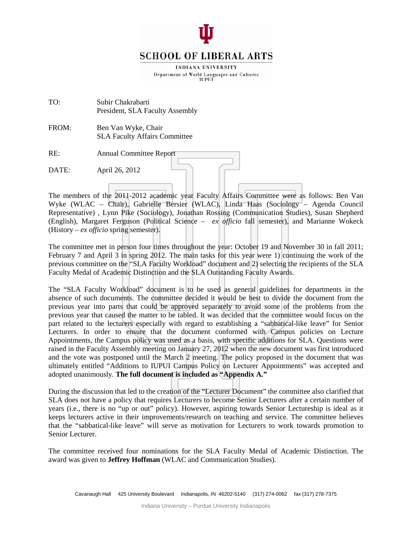

# **SCHOOL OF LIBERAL ARTS**

INDIANA UNIVERSITY Department of World Languages and Cultures **IUPUI** 

TO: Subir Chakrabarti President, SLA Faculty Assembly

FROM: Ben Van Wyke, Chair SLA Faculty Affairs Committee

| RE:   | <b>Annual Committee Report</b> |
|-------|--------------------------------|
| DATE: | April 26, 2012                 |
|       |                                |

The members of the 2011-2012 academic year Faculty Affairs Committee were as follows: Ben Van Wyke (WLAC – Chair), Gabrielle Bersier (WLAC), Linda Haas (Sociology – Agenda Council Representative) , Lynn Pike (Sociology), Jonathan Rossing (Communication Studies), Susan Shepherd (English), Margaret Ferguson (Political Science – *ex officio* fall semester)*,* and Marianne Wokeck (History – *ex officio* spring semester).

The committee met in person four times throughout the year: October 19 and November 30 in fall 2011; February 7 and April 3 in spring 2012. The main tasks for this year were 1) continuing the work of the previous committee on the "SLA Faculty Workload" document and 2) selecting the recipients of the SLA Faculty Medal of Academic Distinction and the SLA Outstanding Faculty Awards.

The "SLA Faculty Workload" document is to be used as general guidelines for departments in the absence of such documents. The committee decided it would be best to divide the document from the previous year into parts that could be approved separately to avoid some of the problems from the previous year that caused the matter to be tabled. It was decided that the committee would focus on the part related to the lecturers especially with regard to establishing a "sabbatical-like leave" for Senior Lecturers. In order to ensure that the document conformed with Campus policies on Lecture Appointments, the Campus policy was used as a basis, with specific additions for SLA. Questions were raised in the Faculty Assembly meeting on January 27, 2012 when the new document was first introduced and the vote was postponed until the March 2 meeting. The policy proposed in the document that was ultimately entitled "Additions to IUPUI Campus Policy on Lecturer Appointments" was accepted and adopted unanimously. **The full document is included as "Appendix A."**

During the discussion that led to the creation of the "Lecturer Document" the committee also clarified that SLA does not have a policy that requires Lecturers to become Senior Lecturers after a certain number of years (i.e., there is no "up or out" policy). However, aspiring towards Senior Lectureship is ideal as it keeps lecturers active in their improvements/research on teaching and service. The committee believes that the "sabbatical-like leave" will serve as motivation for Lecturers to work towards promotion to Senior Lecturer.

The committee received four nominations for the SLA Faculty Medal of Academic Distinction. The award was given to **Jeffrey Hoffman** (WLAC and Communication Studies).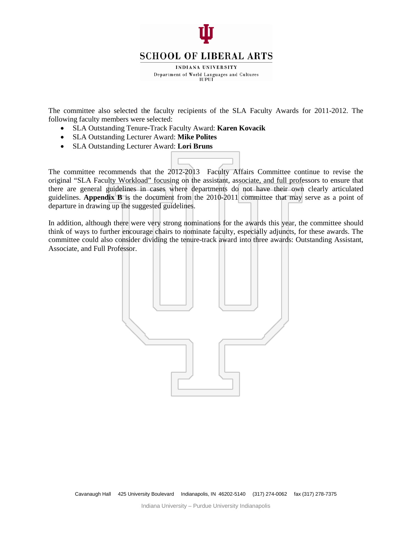

INDIANA UNIVERSITY Department of World Languages and Cultures **IUPUI** 

The committee also selected the faculty recipients of the SLA Faculty Awards for 2011-2012. The following faculty members were selected:

- SLA Outstanding Tenure-Track Faculty Award: **Karen Kovacik**
- SLA Outstanding Lecturer Award: **Mike Polites**
- SLA Outstanding Lecturer Award: **Lori Bruns**

The committee recommends that the 2012-2013 Faculty Affairs Committee continue to revise the original "SLA Faculty Workload" focusing on the assistant, associate, and full professors to ensure that there are general guidelines in cases where departments do not have their own clearly articulated guidelines. **Appendix B** is the document from the 2010-2011 committee that may serve as a point of departure in drawing up the suggested guidelines.

In addition, although there were very strong nominations for the awards this year, the committee should think of ways to further encourage chairs to nominate faculty, especially adjuncts, for these awards. The committee could also consider dividing the tenure-track award into three awards: Outstanding Assistant, Associate, and Full Professor.

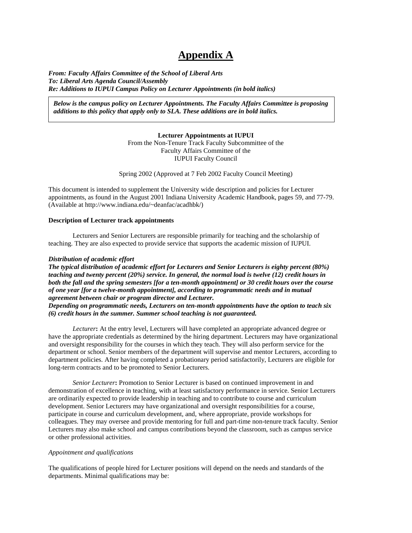# **Appendix A**

*From: Faculty Affairs Committee of the School of Liberal Arts To: Liberal Arts Agenda Council/Assembly Re: Additions to IUPUI Campus Policy on Lecturer Appointments (in bold italics)*

*Below is the campus policy on Lecturer Appointments. The Faculty Affairs Committee is proposing additions to this policy that apply only to SLA. These additions are in bold italics.*

> **Lecturer Appointments at IUPUI** From the Non-Tenure Track Faculty Subcommittee of the Faculty Affairs Committee of the IUPUI Faculty Council

Spring 2002 (Approved at 7 Feb 2002 Faculty Council Meeting)

This document is intended to supplement the University wide description and policies for Lecturer appointments, as found in the August 2001 Indiana University Academic Handbook, pages 59, and 77-79. (Available at http://www.indiana.edu/~deanfac/acadhbk/)

#### **Description of Lecturer track appointments**

Lecturers and Senior Lecturers are responsible primarily for teaching and the scholarship of teaching. They are also expected to provide service that supports the academic mission of IUPUI.

## *Distribution of academic effort*

*The typical distribution of academic effort for Lecturers and Senior Lecturers is eighty percent (80%) teaching and twenty percent (20%) service. In general, the normal load is twelve (12) credit hours in both the fall and the spring semesters [for a ten-month appointment] or 30 credit hours over the course of one year [for a twelve-month appointment], according to programmatic needs and in mutual agreement between chair or program director and Lecturer. Depending on programmatic needs, Lecturers on ten-month appointments have the option to teach six*

*(6) credit hours in the summer. Summer school teaching is not guaranteed.*

*Lecturer***:** At the entry level, Lecturers will have completed an appropriate advanced degree or have the appropriate credentials as determined by the hiring department. Lecturers may have organizational and oversight responsibility for the courses in which they teach. They will also perform service for the department or school. Senior members of the department will supervise and mentor Lecturers, according to department policies. After having completed a probationary period satisfactorily, Lecturers are eligible for long-term contracts and to be promoted to Senior Lecturers.

*Senior Lecturer***:** Promotion to Senior Lecturer is based on continued improvement in and demonstration of excellence in teaching, with at least satisfactory performance in service. Senior Lecturers are ordinarily expected to provide leadership in teaching and to contribute to course and curriculum development. Senior Lecturers may have organizational and oversight responsibilities for a course, participate in course and curriculum development, and, where appropriate, provide workshops for colleagues. They may oversee and provide mentoring for full and part-time non-tenure track faculty. Senior Lecturers may also make school and campus contributions beyond the classroom, such as campus service or other professional activities.

#### *Appointment and qualifications*

The qualifications of people hired for Lecturer positions will depend on the needs and standards of the departments. Minimal qualifications may be: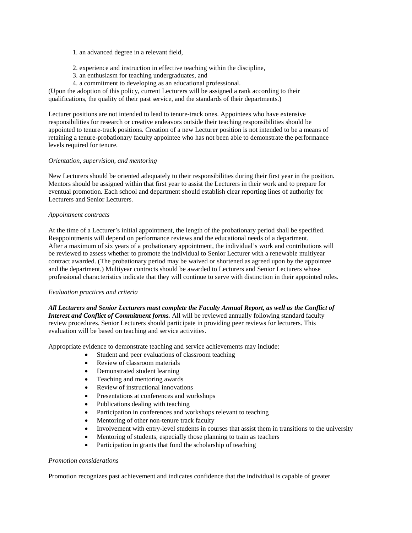1. an advanced degree in a relevant field,

- 2. experience and instruction in effective teaching within the discipline,
- 3. an enthusiasm for teaching undergraduates, and
- 4. a commitment to developing as an educational professional.

(Upon the adoption of this policy, current Lecturers will be assigned a rank according to their qualifications, the quality of their past service, and the standards of their departments.)

Lecturer positions are not intended to lead to tenure-track ones. Appointees who have extensive responsibilities for research or creative endeavors outside their teaching responsibilities should be appointed to tenure-track positions. Creation of a new Lecturer position is not intended to be a means of retaining a tenure-probationary faculty appointee who has not been able to demonstrate the performance levels required for tenure.

#### *Orientation, supervision, and mentoring*

New Lecturers should be oriented adequately to their responsibilities during their first year in the position. Mentors should be assigned within that first year to assist the Lecturers in their work and to prepare for eventual promotion. Each school and department should establish clear reporting lines of authority for Lecturers and Senior Lecturers.

## *Appointment contracts*

At the time of a Lecturer's initial appointment, the length of the probationary period shall be specified. Reappointments will depend on performance reviews and the educational needs of a department. After a maximum of six years of a probationary appointment, the individual's work and contributions will be reviewed to assess whether to promote the individual to Senior Lecturer with a renewable multiyear contract awarded. (The probationary period may be waived or shortened as agreed upon by the appointee and the department.) Multiyear contracts should be awarded to Lecturers and Senior Lecturers whose professional characteristics indicate that they will continue to serve with distinction in their appointed roles.

# *Evaluation practices and criteria*

*All Lecturers and Senior Lecturers must complete the Faculty Annual Report, as well as the Conflict of Interest and Conflict of Commitment forms.* All will be reviewed annually following standard faculty review procedures. Senior Lecturers should participate in providing peer reviews for lecturers. This evaluation will be based on teaching and service activities.

Appropriate evidence to demonstrate teaching and service achievements may include:

- Student and peer evaluations of classroom teaching
- Review of classroom materials
- Demonstrated student learning
- Teaching and mentoring awards
- Review of instructional innovations
- Presentations at conferences and workshops
- Publications dealing with teaching
- Participation in conferences and workshops relevant to teaching
- Mentoring of other non-tenure track faculty
- Involvement with entry-level students in courses that assist them in transitions to the university
- Mentoring of students, especially those planning to train as teachers
- Participation in grants that fund the scholarship of teaching

#### *Promotion considerations*

Promotion recognizes past achievement and indicates confidence that the individual is capable of greater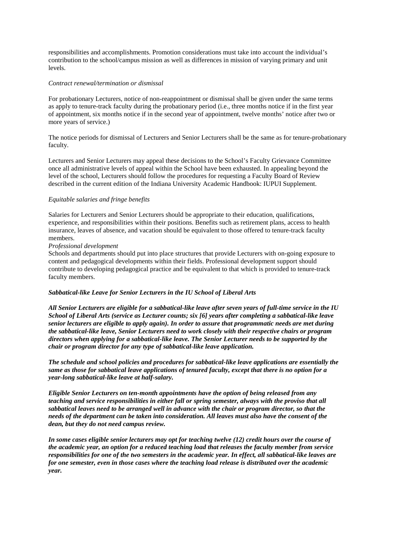responsibilities and accomplishments. Promotion considerations must take into account the individual's contribution to the school/campus mission as well as differences in mission of varying primary and unit levels.

#### *Contract renewal/termination or dismissal*

For probationary Lecturers, notice of non-reappointment or dismissal shall be given under the same terms as apply to tenure-track faculty during the probationary period (i.e., three months notice if in the first year of appointment, six months notice if in the second year of appointment, twelve months' notice after two or more years of service.)

The notice periods for dismissal of Lecturers and Senior Lecturers shall be the same as for tenure-probationary faculty.

Lecturers and Senior Lecturers may appeal these decisions to the School's Faculty Grievance Committee once all administrative levels of appeal within the School have been exhausted. In appealing beyond the level of the school, Lecturers should follow the procedures for requesting a Faculty Board of Review described in the current edition of the Indiana University Academic Handbook: IUPUI Supplement.

## *Equitable salaries and fringe benefits*

Salaries for Lecturers and Senior Lecturers should be appropriate to their education, qualifications, experience, and responsibilities within their positions. Benefits such as retirement plans, access to health insurance, leaves of absence, and vacation should be equivalent to those offered to tenure-track faculty members.

#### *Professional development*

Schools and departments should put into place structures that provide Lecturers with on-going exposure to content and pedagogical developments within their fields. Professional development support should contribute to developing pedagogical practice and be equivalent to that which is provided to tenure-track faculty members.

#### *Sabbatical-like Leave for Senior Lecturers in the IU School of Liberal Arts*

*All Senior Lecturers are eligible for a sabbatical-like leave after seven years of full-time service in the IU School of Liberal Arts (service as Lecturer counts; six [6] years after completing a sabbatical-like leave senior lecturers are eligible to apply again). In order to assure that programmatic needs are met during the sabbatical-like leave, Senior Lecturers need to work closely with their respective chairs or program directors when applying for a sabbatical-like leave. The Senior Lecturer needs to be supported by the chair or program director for any type of sabbatical-like leave application.*

*The schedule and school policies and procedures for sabbatical-like leave applications are essentially the same as those for sabbatical leave applications of tenured faculty, except that there is no option for a year-long sabbatical-like leave at half-salary.*

*Eligible Senior Lecturers on ten-month appointments have the option of being released from any teaching and service responsibilities in either fall or spring semester, always with the proviso that all sabbatical leaves need to be arranged well in advance with the chair or program director, so that the needs of the department can be taken into consideration. All leaves must also have the consent of the dean, but they do not need campus review.*

*In some cases eligible senior lecturers may opt for teaching twelve (12) credit hours over the course of the academic year, an option for a reduced teaching load that releases the faculty member from service responsibilities for one of the two semesters in the academic year. In effect, all sabbatical-like leaves are for one semester, even in those cases where the teaching load release is distributed over the academic year.*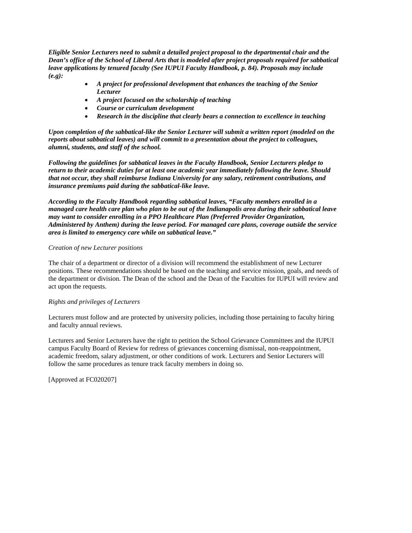*Eligible Senior Lecturers need to submit a detailed project proposal to the departmental chair and the Dean's office of the School of Liberal Arts that is modeled after project proposals required for sabbatical leave applications by tenured faculty (See IUPUI Faculty Handbook, p. 84). Proposals may include (e.g):*

- *A project for professional development that enhances the teaching of the Senior Lecturer*
- *A project focused on the scholarship of teaching*
- *Course or curriculum development*
- *Research in the discipline that clearly bears a connection to excellence in teaching*

*Upon completion of the sabbatical-like the Senior Lecturer will submit a written report (modeled on the reports about sabbatical leaves) and will commit to a presentation about the project to colleagues, alumni, students, and staff of the school.*

*Following the guidelines for sabbatical leaves in the Faculty Handbook, Senior Lecturers pledge to return to their academic duties for at least one academic year immediately following the leave. Should that not occur, they shall reimburse Indiana University for any salary, retirement contributions, and insurance premiums paid during the sabbatical-like leave.*

*According to the Faculty Handbook regarding sabbatical leaves, "Faculty members enrolled in a managed care health care plan who plan to be out of the Indianapolis area during their sabbatical leave may want to consider enrolling in a PPO Healthcare Plan (Preferred Provider Organization, Administered by Anthem) during the leave period. For managed care plans, coverage outside the service area is limited to emergency care while on sabbatical leave."*

## *Creation of new Lecturer positions*

The chair of a department or director of a division will recommend the establishment of new Lecturer positions. These recommendations should be based on the teaching and service mission, goals, and needs of the department or division. The Dean of the school and the Dean of the Faculties for IUPUI will review and act upon the requests.

# *Rights and privileges of Lecturers*

Lecturers must follow and are protected by university policies, including those pertaining to faculty hiring and faculty annual reviews.

Lecturers and Senior Lecturers have the right to petition the School Grievance Committees and the IUPUI campus Faculty Board of Review for redress of grievances concerning dismissal, non-reappointment, academic freedom, salary adjustment, or other conditions of work. Lecturers and Senior Lecturers will follow the same procedures as tenure track faculty members in doing so.

[Approved at FC020207]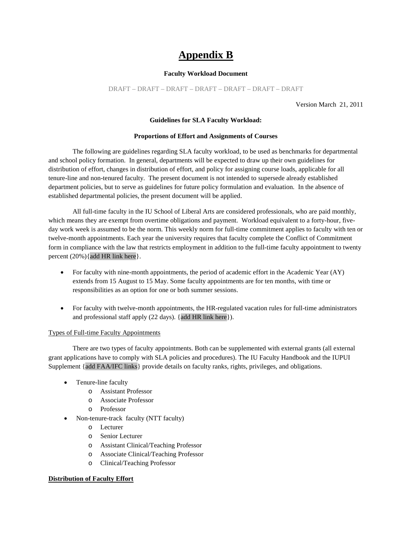# **Appendix B**

#### **Faculty Workload Document**

DRAFT – DRAFT – DRAFT – DRAFT – DRAFT – DRAFT – DRAFT

Version March 21, 2011

# **Guidelines for SLA Faculty Workload:**

#### **Proportions of Effort and Assignments of Courses**

The following are guidelines regarding SLA faculty workload, to be used as benchmarks for departmental and school policy formation. In general, departments will be expected to draw up their own guidelines for distribution of effort, changes in distribution of effort, and policy for assigning course loads, applicable for all tenure-line and non-tenured faculty. The present document is not intended to supersede already established department policies, but to serve as guidelines for future policy formulation and evaluation. In the absence of established departmental policies, the present document will be applied.

All full-time faculty in the IU School of Liberal Arts are considered professionals, who are paid monthly, which means they are exempt from overtime obligations and payment. Workload equivalent to a forty-hour, fiveday work week is assumed to be the norm. This weekly norm for full-time commitment applies to faculty with ten or twelve-month appointments. Each year the university requires that faculty complete the Conflict of Commitment form in compliance with the law that restricts employment in addition to the full-time faculty appointment to twenty percent (20%){add HR link here}.

- For faculty with nine-month appointments, the period of academic effort in the Academic Year (AY) extends from 15 August to 15 May. Some faculty appointments are for ten months, with time or responsibilities as an option for one or both summer sessions.
- For faculty with twelve-month appointments, the HR-regulated vacation rules for full-time administrators and professional staff apply (22 days). {add HR link here}).

#### Types of Full-time Faculty Appointments

There are two types of faculty appointments. Both can be supplemented with external grants (all external grant applications have to comply with SLA policies and procedures). The IU Faculty Handbook and the IUPUI Supplement {add FAA/IFC links} provide details on faculty ranks, rights, privileges, and obligations.

- Tenure-line faculty
	- o Assistant Professor
	- o Associate Professor
	- o Professor
- Non-tenure-track faculty (NTT faculty)
	- o Lecturer
	- o Senior Lecturer
	- o Assistant Clinical/Teaching Professor
	- o Associate Clinical/Teaching Professor
	- o Clinical/Teaching Professor

# **Distribution of Faculty Effort**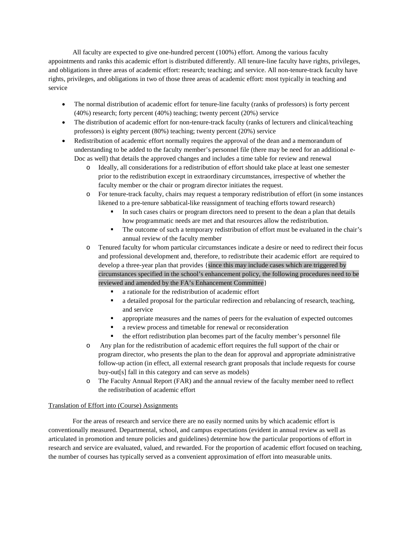All faculty are expected to give one-hundred percent (100%) effort. Among the various faculty appointments and ranks this academic effort is distributed differently. All tenure-line faculty have rights, privileges, and obligations in three areas of academic effort: research; teaching; and service. All non-tenure-track faculty have rights, privileges, and obligations in two of those three areas of academic effort: most typically in teaching and service

- The normal distribution of academic effort for tenure-line faculty (ranks of professors) is forty percent (40%) research; forty percent (40%) teaching; twenty percent (20%) service
- The distribution of academic effort for non-tenure-track faculty (ranks of lecturers and clinical/teaching professors) is eighty percent (80%) teaching; twenty percent (20%) service
- Redistribution of academic effort normally requires the approval of the dean and a memorandum of understanding to be added to the faculty member's personnel file (there may be need for an additional e-Doc as well) that details the approved changes and includes a time table for review and renewal
	- o Ideally, all considerations for a redistribution of effort should take place at least one semester prior to the redistribution except in extraordinary circumstances, irrespective of whether the faculty member or the chair or program director initiates the request.
	- o For tenure-track faculty, chairs may request a temporary redistribution of effort (in some instances likened to a pre-tenure sabbatical-like reassignment of teaching efforts toward research)
		- In such cases chairs or program directors need to present to the dean a plan that details how programmatic needs are met and that resources allow the redistribution.
		- The outcome of such a temporary redistribution of effort must be evaluated in the chair's annual review of the faculty member
	- o Tenured faculty for whom particular circumstances indicate a desire or need to redirect their focus and professional development and, therefore, to redistribute their academic effort are required to develop a three-year plan that provides {since this may include cases which are triggered by circumstances specified in the school's enhancement policy, the following procedures need to be reviewed and amended by the FA's Enhancement Committee}
		- a rationale for the redistribution of academic effort
		- a detailed proposal for the particular redirection and rebalancing of research, teaching, and service
		- appropriate measures and the names of peers for the evaluation of expected outcomes
		- a review process and timetable for renewal or reconsideration
		- the effort redistribution plan becomes part of the faculty member's personnel file
	- o Any plan for the redistribution of academic effort requires the full support of the chair or program director, who presents the plan to the dean for approval and appropriate administrative follow-up action (in effect, all external research grant proposals that include requests for course buy-out[s] fall in this category and can serve as models)
	- o The Faculty Annual Report (FAR) and the annual review of the faculty member need to reflect the redistribution of academic effort

# Translation of Effort into (Course) Assignments

For the areas of research and service there are no easily normed units by which academic effort is conventionally measured. Departmental, school, and campus expectations (evident in annual review as well as articulated in promotion and tenure policies and guidelines) determine how the particular proportions of effort in research and service are evaluated, valued, and rewarded. For the proportion of academic effort focused on teaching, the number of courses has typically served as a convenient approximation of effort into measurable units.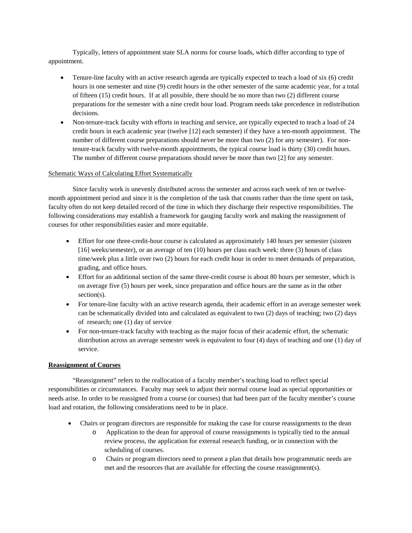Typically, letters of appointment state SLA norms for course loads, which differ according to type of appointment.

- Tenure-line faculty with an active research agenda are typically expected to teach a load of six (6) credit hours in one semester and nine (9) credit hours in the other semester of the same academic year, for a total of fifteen (15) credit hours. If at all possible, there should be no more than two (2) different course preparations for the semester with a nine credit hour load. Program needs take precedence in redistribution decisions.
- Non-tenure-track faculty with efforts in teaching and service, are typically expected to teach a load of 24 credit hours in each academic year (twelve [12] each semester) if they have a ten-month appointment. The number of different course preparations should never be more than two (2) for any semester). For nontenure-track faculty with twelve-month appointments, the typical course load is thirty (30) credit hours. The number of different course preparations should never be more than two [2] for any semester.

# Schematic Ways of Calculating Effort Systematically

Since faculty work is unevenly distributed across the semester and across each week of ten or twelvemonth appointment period and since it is the completion of the task that counts rather than the time spent on task, faculty often do not keep detailed record of the time in which they discharge their respective responsibilities. The following considerations may establish a framework for gauging faculty work and making the reassignment of courses for other responsibilities easier and more equitable.

- Effort for one three-credit-hour course is calculated as approximately 140 hours per semester (sixteen [16] weeks/semester), or an average of ten (10) hours per class each week: three (3) hours of class time/week plus a little over two (2) hours for each credit hour in order to meet demands of preparation, grading, and office hours.
- Effort for an additional section of the same three-credit course is about 80 hours per semester, which is on average five (5) hours per week, since preparation and office hours are the same as in the other section(s).
- For tenure-line faculty with an active research agenda, their academic effort in an average semester week can be schematically divided into and calculated as equivalent to two (2) days of teaching; two (2) days of research; one (1) day of service
- For non-tenure-track faculty with teaching as the major focus of their academic effort, the schematic distribution across an average semester week is equivalent to four (4) days of teaching and one (1) day of service.

# **Reassignment of Courses**

"Reassignment" refers to the reallocation of a faculty member's teaching load to reflect special responsibilities or circumstances. Faculty may seek to adjust their normal course load as special opportunities or needs arise. In order to be reassigned from a course (or courses) that had been part of the faculty member's course load and rotation, the following considerations need to be in place.

- Chairs or program directors are responsible for making the case for course reassignments to the dean
	- o Application to the dean for approval of course reassignments is typically tied to the annual review process, the application for external research funding, or in connection with the scheduling of courses.
	- o Chairs or program directors need to present a plan that details how programmatic needs are met and the resources that are available for effecting the course reassignment(s).